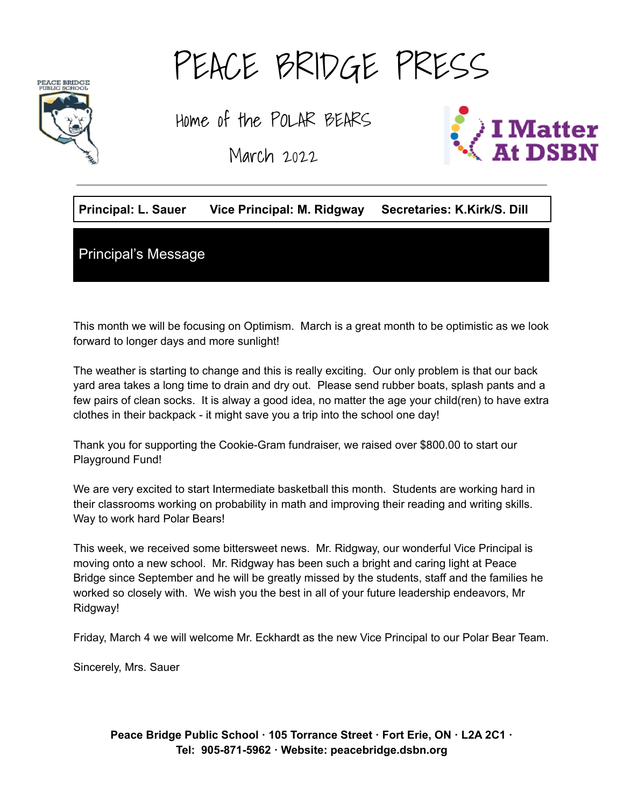PEACE BRIDGE<br>PUBLIC SCHOOL



Home of the POLAR BEARS

March 2022



### **Principal: L. Sauer Vice Principal: M. Ridgway Secretaries: K.Kirk/S. Dill**

Principal's Message

This month we will be focusing on Optimism. March is a great month to be optimistic as we look forward to longer days and more sunlight!

The weather is starting to change and this is really exciting. Our only problem is that our back yard area takes a long time to drain and dry out. Please send rubber boats, splash pants and a few pairs of clean socks. It is alway a good idea, no matter the age your child(ren) to have extra clothes in their backpack - it might save you a trip into the school one day!

Thank you for supporting the Cookie-Gram fundraiser, we raised over \$800.00 to start our Playground Fund!

We are very excited to start Intermediate basketball this month. Students are working hard in their classrooms working on probability in math and improving their reading and writing skills. Way to work hard Polar Bears!

This week, we received some bittersweet news. Mr. Ridgway, our wonderful Vice Principal is moving onto a new school. Mr. Ridgway has been such a bright and caring light at Peace Bridge since September and he will be greatly missed by the students, staff and the families he worked so closely with. We wish you the best in all of your future leadership endeavors, Mr Ridgway!

Friday, March 4 we will welcome Mr. Eckhardt as the new Vice Principal to our Polar Bear Team.

Sincerely, Mrs. Sauer

**Peace Bridge Public School · 105 Torrance Street · Fort Erie, ON · L2A 2C1 · Tel: 905-871-5962 · Website: peacebridge.dsbn.org**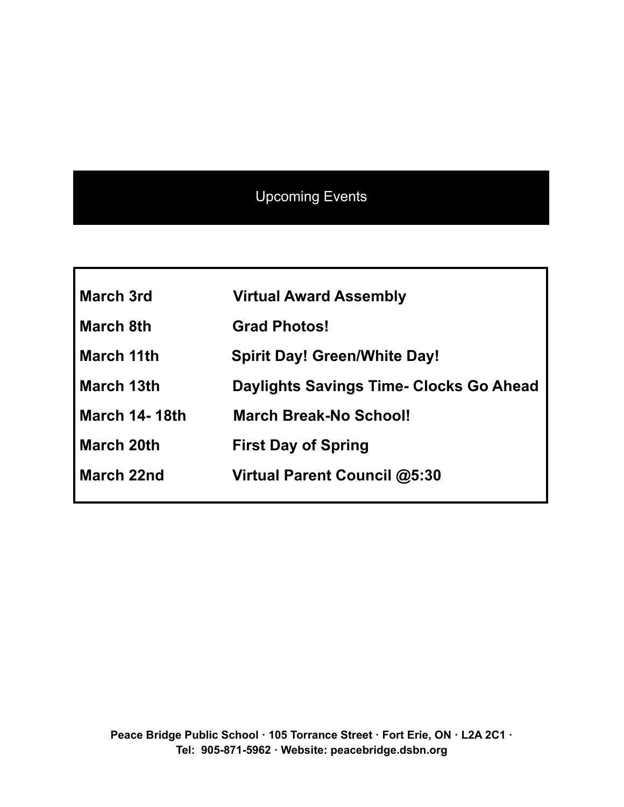# Upcoming Events

| <b>March 3rd</b>     | <b>Virtual Award Assembly</b>                  |
|----------------------|------------------------------------------------|
| <b>March 8th</b>     | <b>Grad Photos!</b>                            |
| <b>March 11th</b>    | <b>Spirit Day! Green/White Day!</b>            |
| March 13th           | <b>Daylights Savings Time- Clocks Go Ahead</b> |
| <b>March 14-18th</b> | March Break-No School!                         |
| <b>March 20th</b>    | <b>First Day of Spring</b>                     |
| <b>March 22nd</b>    | Virtual Parent Council @5:30                   |
|                      |                                                |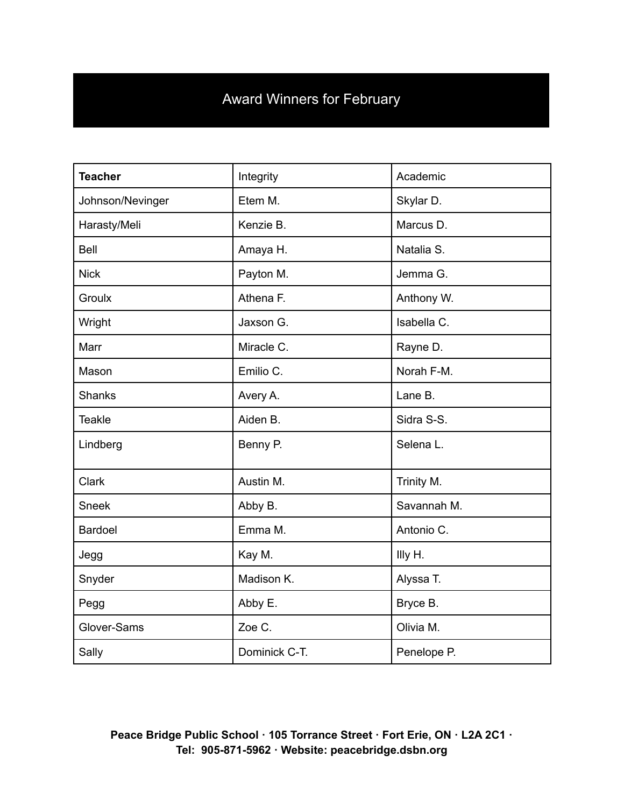# Award Winners for February

| <b>Teacher</b>   | Integrity<br>Academic |             |  |
|------------------|-----------------------|-------------|--|
| Johnson/Nevinger | Etem M.               | Skylar D.   |  |
| Harasty/Meli     | Kenzie B.             | Marcus D.   |  |
| Bell             | Amaya H.              | Natalia S.  |  |
| <b>Nick</b>      | Payton M.             | Jemma G.    |  |
| Groulx           | Athena F.             | Anthony W.  |  |
| Wright           | Jaxson G.             | Isabella C. |  |
| Marr             | Miracle C.            | Rayne D.    |  |
| Mason            | Emilio C.             | Norah F-M.  |  |
| <b>Shanks</b>    | Avery A.              | Lane B.     |  |
| <b>Teakle</b>    | Aiden B.              | Sidra S-S.  |  |
| Lindberg         | Benny P.              | Selena L.   |  |
| <b>Clark</b>     | Austin M.             | Trinity M.  |  |
| <b>Sneek</b>     | Abby B.               | Savannah M. |  |
| <b>Bardoel</b>   | Emma M.               | Antonio C.  |  |
| Jegg             | Kay M.                | Illy H.     |  |
| Snyder           | Madison K.            | Alyssa T.   |  |
| Pegg             | Abby E.<br>Bryce B.   |             |  |
| Glover-Sams      | Zoe C.                | Olivia M.   |  |
| Sally            | Dominick C-T.         | Penelope P. |  |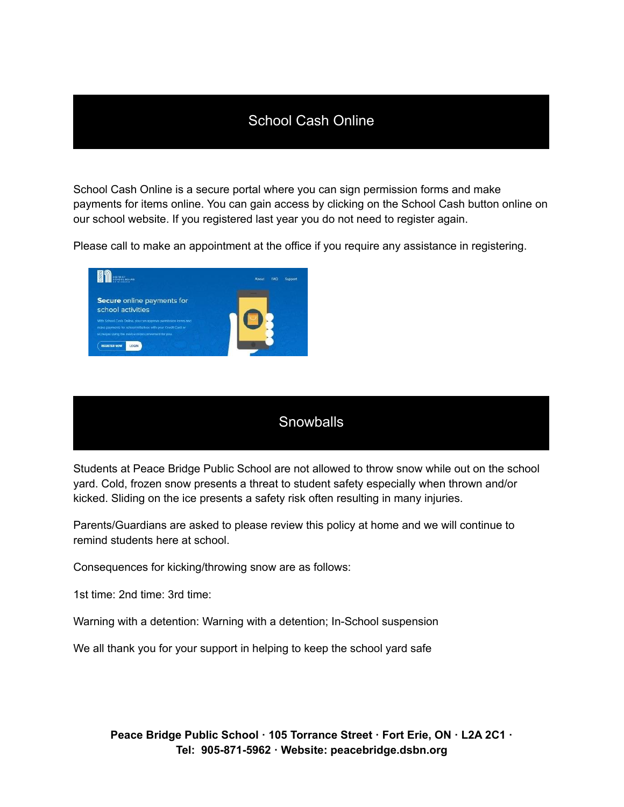#### School Cash Online

School Cash Online is a secure portal where you can sign permission forms and make payments for items online. You can gain access by clicking on the School Cash button online on our school website. If you registered last year you do not need to register again.

Please call to make an appointment at the office if you require any assistance in registering.



#### **Snowballs**

Students at Peace Bridge Public School are not allowed to throw snow while out on the school yard. Cold, frozen snow presents a threat to student safety especially when thrown and/or kicked. Sliding on the ice presents a safety risk often resulting in many injuries.

Parents/Guardians are asked to please review this policy at home and we will continue to remind students here at school.

Consequences for kicking/throwing snow are as follows:

1st time: 2nd time: 3rd time:

Warning with a detention: Warning with a detention; In-School suspension

We all thank you for your support in helping to keep the school yard safe

**Peace Bridge Public School · 105 Torrance Street · Fort Erie, ON · L2A 2C1 · Tel: 905-871-5962 · Website: peacebridge.dsbn.org**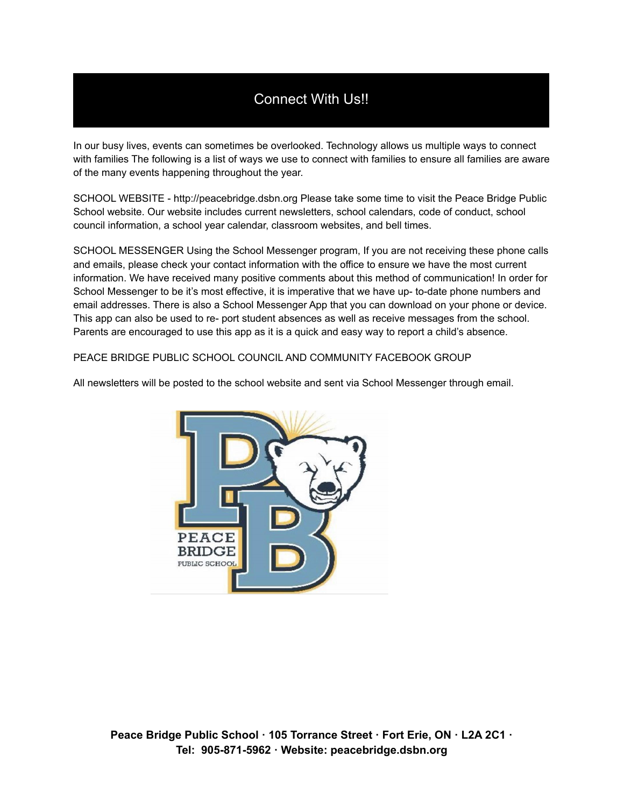## Connect With Us!!

In our busy lives, events can sometimes be overlooked. Technology allows us multiple ways to connect with families The following is a list of ways we use to connect with families to ensure all families are aware of the many events happening throughout the year.

SCHOOL WEBSITE - http://peacebridge.dsbn.org Please take some time to visit the Peace Bridge Public School website. Our website includes current newsletters, school calendars, code of conduct, school council information, a school year calendar, classroom websites, and bell times.

SCHOOL MESSENGER Using the School Messenger program, If you are not receiving these phone calls and emails, please check your contact information with the office to ensure we have the most current information. We have received many positive comments about this method of communication! In order for School Messenger to be it's most effective, it is imperative that we have up- to-date phone numbers and email addresses. There is also a School Messenger App that you can download on your phone or device. This app can also be used to re- port student absences as well as receive messages from the school. Parents are encouraged to use this app as it is a quick and easy way to report a child's absence.

PEACE BRIDGE PUBLIC SCHOOL COUNCIL AND COMMUNITY FACEBOOK GROUP



All newsletters will be posted to the school website and sent via School Messenger through email.